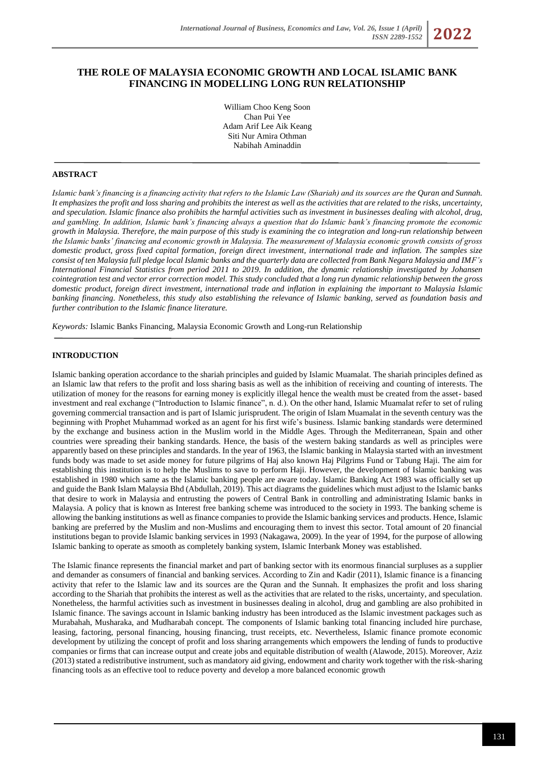# **THE ROLE OF MALAYSIA ECONOMIC GROWTH AND LOCAL ISLAMIC BANK FINANCING IN MODELLING LONG RUN RELATIONSHIP**

William Choo Keng Soon Chan Pui Yee Adam Arif Lee Aik Keang Siti Nur Amira Othman Nabihah Aminaddin

### **ABSTRACT**

*Islamic bank's financing is a financing activity that refers to the Islamic Law (Shariah) and its sources are the Quran and Sunnah. It emphasizes the profit and loss sharing and prohibits the interest as well as the activities that are related to the risks, uncertainty, and speculation. Islamic finance also prohibits the harmful activities such as investment in businesses dealing with alcohol, drug, and gambling. In addition, Islamic bank's financing always a question that do Islamic bank's financing promote the economic growth in Malaysia. Therefore, the main purpose of this study is examining the co integration and long-run relationship between the Islamic banks' financing and economic growth in Malaysia. The measurement of Malaysia economic growth consists of gross domestic product, gross fixed capital formation, foreign direct investment, international trade and inflation. The samples size consist of ten Malaysia full pledge local Islamic banks and the quarterly data are collected from Bank Negara Malaysia and IMF's International Financial Statistics from period 2011 to 2019. In addition, the dynamic relationship investigated by Johansen cointegration test and vector error correction model. This study concluded that a long run dynamic relationship between the gross domestic product, foreign direct investment, international trade and inflation in explaining the important to Malaysia Islamic banking financing. Nonetheless, this study also establishing the relevance of Islamic banking, served as foundation basis and further contribution to the Islamic finance literature.*

*Keywords:* Islamic Banks Financing, Malaysia Economic Growth and Long-run Relationship

### **INTRODUCTION**

Islamic banking operation accordance to the shariah principles and guided by Islamic Muamalat. The shariah principles defined as an Islamic law that refers to the profit and loss sharing basis as well as the inhibition of receiving and counting of interests. The utilization of money for the reasons for earning money is explicitly illegal hence the wealth must be created from the asset- based investment and real exchange ("Introduction to Islamic finance", n. d.). On the other hand, Islamic Muamalat refer to set of ruling governing commercial transaction and is part of Islamic jurisprudent. The origin of Islam Muamalat in the seventh century was the beginning with Prophet Muhammad worked as an agent for his first wife's business. Islamic banking standards were determined by the exchange and business action in the Muslim world in the Middle Ages. Through the Mediterranean, Spain and other countries were spreading their banking standards. Hence, the basis of the western baking standards as well as principles were apparently based on these principles and standards. In the year of 1963, the Islamic banking in Malaysia started with an investment funds body was made to set aside money for future pilgrims of Haj also known Haj Pilgrims Fund or Tabung Haji. The aim for establishing this institution is to help the Muslims to save to perform Haji. However, the development of Islamic banking was established in 1980 which same as the Islamic banking people are aware today. Islamic Banking Act 1983 was officially set up and guide the Bank Islam Malaysia Bhd (Abdullah, 2019). This act diagrams the guidelines which must adjust to the Islamic banks that desire to work in Malaysia and entrusting the powers of Central Bank in controlling and administrating Islamic banks in Malaysia. A policy that is known as Interest free banking scheme was introduced to the society in 1993. The banking scheme is allowing the banking institutions as well as finance companies to provide the Islamic banking services and products. Hence, Islamic banking are preferred by the Muslim and non-Muslims and encouraging them to invest this sector. Total amount of 20 financial institutions began to provide Islamic banking services in 1993 (Nakagawa, 2009). In the year of 1994, for the purpose of allowing Islamic banking to operate as smooth as completely banking system, Islamic Interbank Money was established.

The Islamic finance represents the financial market and part of banking sector with its enormous financial surpluses as a supplier and demander as consumers of financial and banking services. According to Zin and Kadir (2011), Islamic finance is a financing activity that refer to the Islamic law and its sources are the Quran and the Sunnah. It emphasizes the profit and loss sharing according to the Shariah that prohibits the interest as well as the activities that are related to the risks, uncertainty, and speculation. Nonetheless, the harmful activities such as investment in businesses dealing in alcohol, drug and gambling are also prohibited in Islamic finance. The savings account in Islamic banking industry has been introduced as the Islamic investment packages such as Murabahah, Musharaka, and Mudharabah concept. The components of Islamic banking total financing included hire purchase, leasing, factoring, personal financing, housing financing, trust receipts, etc. Nevertheless, Islamic finance promote economic development by utilizing the concept of profit and loss sharing arrangements which empowers the lending of funds to productive companies or firms that can increase output and create jobs and equitable distribution of wealth (Alawode, 2015). Moreover, Aziz (2013) stated a redistributive instrument, such as mandatory aid giving, endowment and charity work together with the risk-sharing financing tools as an effective tool to reduce poverty and develop a more balanced economic growth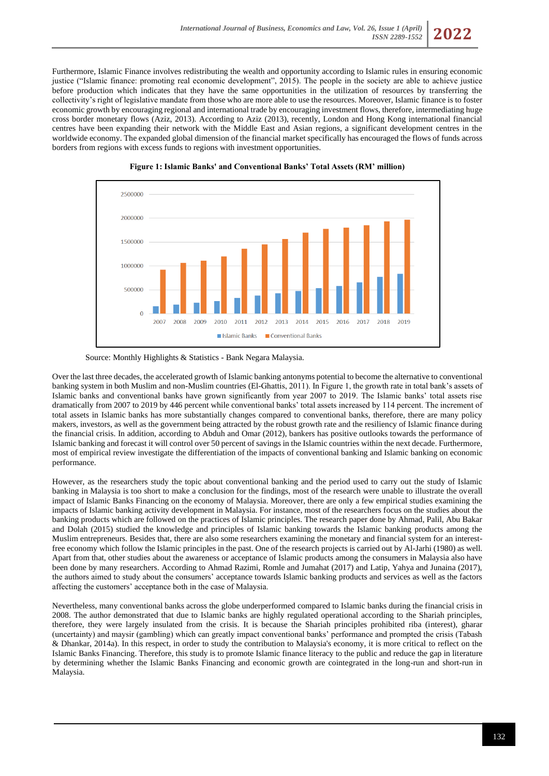Furthermore, Islamic Finance involves redistributing the wealth and opportunity according to Islamic rules in ensuring economic justice ("Islamic finance: promoting real economic development", 2015). The people in the society are able to achieve justice before production which indicates that they have the same opportunities in the utilization of resources by transferring the collectivity's right of legislative mandate from those who are more able to use the resources. Moreover, Islamic finance is to foster economic growth by encouraging regional and international trade by encouraging investment flows, therefore, intermediating huge cross border monetary flows (Aziz, 2013). According to Aziz (2013), recently, London and Hong Kong international financial centres have been expanding their network with the Middle East and Asian regions, a significant development centres in the worldwide economy. The expanded global dimension of the financial market specifically has encouraged the flows of funds across borders from regions with excess funds to regions with investment opportunities.



**Figure 1: Islamic Banks' and Conventional Banks' Total Assets (RM' million)**

Source: Monthly Highlights & Statistics - Bank Negara Malaysia.

Over the last three decades, the accelerated growth of Islamic banking antonyms potential to become the alternative to conventional banking system in both Muslim and non-Muslim countries (El-Ghattis, 2011). In Figure 1, the growth rate in total bank's assets of Islamic banks and conventional banks have grown significantly from year 2007 to 2019. The Islamic banks' total assets rise dramatically from 2007 to 2019 by 446 percent while conventional banks' total assets increased by 114 percent. The increment of total assets in Islamic banks has more substantially changes compared to conventional banks, therefore, there are many policy makers, investors, as well as the government being attracted by the robust growth rate and the resiliency of Islamic finance during the financial crisis. In addition, according to Abduh and Omar (2012), bankers has positive outlooks towards the performance of Islamic banking and forecast it will control over 50 percent of savings in the Islamic countries within the next decade. Furthermore, most of empirical review investigate the differentiation of the impacts of conventional banking and Islamic banking on economic performance.

However, as the researchers study the topic about conventional banking and the period used to carry out the study of Islamic banking in Malaysia is too short to make a conclusion for the findings, most of the research were unable to illustrate the overall impact of Islamic Banks Financing on the economy of Malaysia. Moreover, there are only a few empirical studies examining the impacts of Islamic banking activity development in Malaysia. For instance, most of the researchers focus on the studies about the banking products which are followed on the practices of Islamic principles. The research paper done by Ahmad, Palil, Abu Bakar and Dolah (2015) studied the knowledge and principles of Islamic banking towards the Islamic banking products among the Muslim entrepreneurs. Besides that, there are also some researchers examining the monetary and financial system for an interestfree economy which follow the Islamic principles in the past. One of the research projects is carried out by Al-Jarhi (1980) as well. Apart from that, other studies about the awareness or acceptance of Islamic products among the consumers in Malaysia also have been done by many researchers. According to Ahmad Razimi, Romle and Jumahat (2017) and Latip, Yahya and Junaina (2017), the authors aimed to study about the consumers' acceptance towards Islamic banking products and services as well as the factors affecting the customers' acceptance both in the case of Malaysia.

Nevertheless, many conventional banks across the globe underperformed compared to Islamic banks during the financial crisis in 2008. The author demonstrated that due to Islamic banks are highly regulated operational according to the Shariah principles, therefore, they were largely insulated from the crisis. It is because the Shariah principles prohibited riba (interest), gharar (uncertainty) and maysir (gambling) which can greatly impact conventional banks' performance and prompted the crisis (Tabash & Dhankar, 2014a). In this respect, in order to study the contribution to Malaysia's economy, it is more critical to reflect on the Islamic Banks Financing. Therefore, this study is to promote Islamic finance literacy to the public and reduce the gap in literature by determining whether the Islamic Banks Financing and economic growth are cointegrated in the long-run and short-run in Malaysia.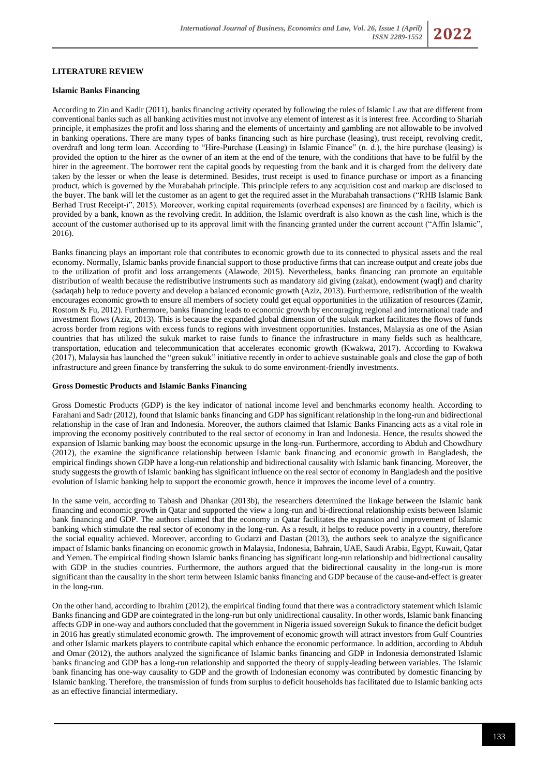### **LITERATURE REVIEW**

#### **Islamic Banks Financing**

According to Zin and Kadir (2011), banks financing activity operated by following the rules of Islamic Law that are different from conventional banks such as all banking activities must not involve any element of interest as it is interest free. According to Shariah principle, it emphasizes the profit and loss sharing and the elements of uncertainty and gambling are not allowable to be involved in banking operations. There are many types of banks financing such as hire purchase (leasing), trust receipt, revolving credit, overdraft and long term loan. According to "Hire-Purchase (Leasing) in Islamic Finance" (n. d.), the hire purchase (leasing) is provided the option to the hirer as the owner of an item at the end of the tenure, with the conditions that have to be fulfil by the hirer in the agreement. The borrower rent the capital goods by requesting from the bank and it is charged from the delivery date taken by the lesser or when the lease is determined. Besides, trust receipt is used to finance purchase or import as a financing product, which is governed by the Murabahah principle. This principle refers to any acquisition cost and markup are disclosed to the buyer. The bank will let the customer as an agent to get the required asset in the Murabahah transactions ("RHB Islamic Bank Berhad Trust Receipt-i", 2015). Moreover, working capital requirements (overhead expenses) are financed by a facility, which is provided by a bank, known as the revolving credit. In addition, the Islamic overdraft is also known as the cash line, which is the account of the customer authorised up to its approval limit with the financing granted under the current account ("Affin Islamic", 2016).

Banks financing plays an important role that contributes to economic growth due to its connected to physical assets and the real economy. Normally, Islamic banks provide financial support to those productive firms that can increase output and create jobs due to the utilization of profit and loss arrangements (Alawode, 2015). Nevertheless, banks financing can promote an equitable distribution of wealth because the redistributive instruments such as mandatory aid giving (zakat), endowment (waqf) and charity (sadaqah) help to reduce poverty and develop a balanced economic growth (Aziz, 2013). Furthermore, redistribution of the wealth encourages economic growth to ensure all members of society could get equal opportunities in the utilization of resources (Zamir, Rostom & Fu, 2012). Furthermore, banks financing leads to economic growth by encouraging regional and international trade and investment flows (Aziz, 2013). This is because the expanded global dimension of the sukuk market facilitates the flows of funds across border from regions with excess funds to regions with investment opportunities. Instances, Malaysia as one of the Asian countries that has utilized the sukuk market to raise funds to finance the infrastructure in many fields such as healthcare, transportation, education and telecommunication that accelerates economic growth (Kwakwa, 2017). According to Kwakwa (2017), Malaysia has launched the "green sukuk" initiative recently in order to achieve sustainable goals and close the gap of both infrastructure and green finance by transferring the sukuk to do some environment-friendly investments.

#### **Gross Domestic Products and Islamic Banks Financing**

Gross Domestic Products (GDP) is the key indicator of national income level and benchmarks economy health. According to Farahani and Sadr (2012), found that Islamic banks financing and GDP has significant relationship in the long-run and bidirectional relationship in the case of Iran and Indonesia. Moreover, the authors claimed that Islamic Banks Financing acts as a vital role in improving the economy positively contributed to the real sector of economy in Iran and Indonesia. Hence, the results showed the expansion of Islamic banking may boost the economic upsurge in the long-run. Furthermore, according to Abduh and Chowdhury (2012), the examine the significance relationship between Islamic bank financing and economic growth in Bangladesh, the empirical findings shown GDP have a long-run relationship and bidirectional causality with Islamic bank financing. Moreover, the study suggests the growth of Islamic banking has significant influence on the real sector of economy in Bangladesh and the positive evolution of Islamic banking help to support the economic growth, hence it improves the income level of a country.

In the same vein, according to Tabash and Dhankar (2013b), the researchers determined the linkage between the Islamic bank financing and economic growth in Qatar and supported the view a long-run and bi-directional relationship exists between Islamic bank financing and GDP. The authors claimed that the economy in Qatar facilitates the expansion and improvement of Islamic banking which stimulate the real sector of economy in the long-run. As a result, it helps to reduce poverty in a country, therefore the social equality achieved. Moreover, according to Gudarzi and Dastan (2013), the authors seek to analyze the significance impact of Islamic banks financing on economic growth in Malaysia, Indonesia, Bahrain, UAE, Saudi Arabia, Egypt, Kuwait, Qatar and Yemen. The empirical finding shown Islamic banks financing has significant long-run relationship and bidirectional causality with GDP in the studies countries. Furthermore, the authors argued that the bidirectional causality in the long-run is more significant than the causality in the short term between Islamic banks financing and GDP because of the cause-and-effect is greater in the long-run.

On the other hand, according to Ibrahim (2012), the empirical finding found that there was a contradictory statement which Islamic Banks financing and GDP are cointegrated in the long-run but only unidirectional causality. In other words, Islamic bank financing affects GDP in one-way and authors concluded that the government in Nigeria issued sovereign Sukuk to finance the deficit budget in 2016 has greatly stimulated economic growth. The improvement of economic growth will attract investors from Gulf Countries and other Islamic markets players to contribute capital which enhance the economic performance. In addition, according to Abduh and Omar (2012), the authors analyzed the significance of Islamic banks financing and GDP in Indonesia demonstrated Islamic banks financing and GDP has a long-run relationship and supported the theory of supply-leading between variables. The Islamic bank financing has one-way causality to GDP and the growth of Indonesian economy was contributed by domestic financing by Islamic banking. Therefore, the transmission of funds from surplus to deficit households has facilitated due to Islamic banking acts as an effective financial intermediary.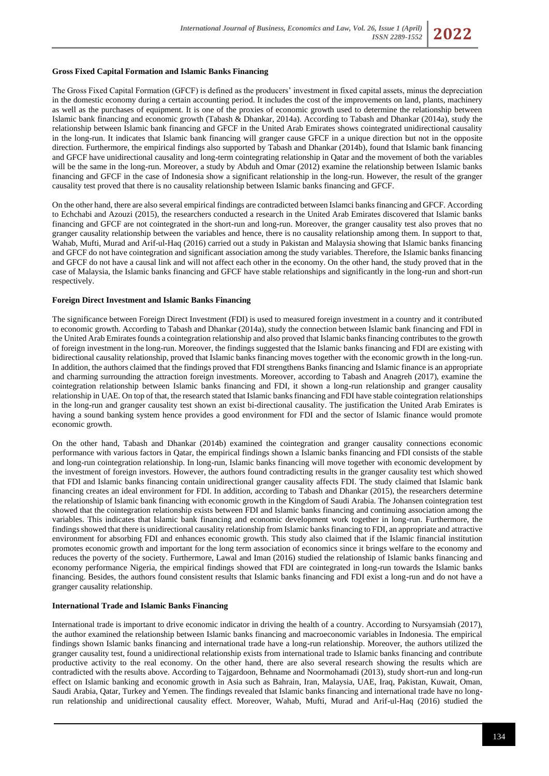#### **Gross Fixed Capital Formation and Islamic Banks Financing**

The Gross Fixed Capital Formation (GFCF) is defined as the producers' investment in fixed capital assets, minus the depreciation in the domestic economy during a certain accounting period. It includes the cost of the improvements on land, plants, machinery as well as the purchases of equipment. It is one of the proxies of economic growth used to determine the relationship between Islamic bank financing and economic growth (Tabash & Dhankar, 2014a). According to Tabash and Dhankar (2014a), study the relationship between Islamic bank financing and GFCF in the United Arab Emirates shows cointegrated unidirectional causality in the long-run. It indicates that Islamic bank financing will granger cause GFCF in a unique direction but not in the opposite direction. Furthermore, the empirical findings also supported by Tabash and Dhankar (2014b), found that Islamic bank financing and GFCF have unidirectional causality and long-term cointegrating relationship in Qatar and the movement of both the variables will be the same in the long-run. Moreover, a study by Abduh and Omar (2012) examine the relationship between Islamic banks financing and GFCF in the case of Indonesia show a significant relationship in the long-run. However, the result of the granger causality test proved that there is no causality relationship between Islamic banks financing and GFCF.

On the other hand, there are also several empirical findings are contradicted between Islamci banks financing and GFCF. According to Echchabi and Azouzi (2015), the researchers conducted a research in the United Arab Emirates discovered that Islamic banks financing and GFCF are not cointegrated in the short-run and long-run. Moreover, the granger causality test also proves that no granger causality relationship between the variables and hence, there is no causality relationship among them. In support to that, Wahab, Mufti, Murad and Arif-ul-Haq (2016) carried out a study in Pakistan and Malaysia showing that Islamic banks financing and GFCF do not have cointegration and significant association among the study variables. Therefore, the Islamic banks financing and GFCF do not have a causal link and will not affect each other in the economy. On the other hand, the study proved that in the case of Malaysia, the Islamic banks financing and GFCF have stable relationships and significantly in the long-run and short-run respectively.

### **Foreign Direct Investment and Islamic Banks Financing**

The significance between Foreign Direct Investment (FDI) is used to measured foreign investment in a country and it contributed to economic growth. According to Tabash and Dhankar (2014a), study the connection between Islamic bank financing and FDI in the United Arab Emirates founds a cointegration relationship and also proved that Islamic banks financing contributes to the growth of foreign investment in the long-run. Moreover, the findings suggested that the Islamic banks financing and FDI are existing with bidirectional causality relationship, proved that Islamic banks financing moves together with the economic growth in the long-run. In addition, the authors claimed that the findings proved that FDI strengthens Banks financing and Islamic finance is an appropriate and charming surrounding the attraction foreign investments. Moreover, according to Tabash and Anagreh (2017), examine the cointegration relationship between Islamic banks financing and FDI, it shown a long-run relationship and granger causality relationship in UAE. On top of that, the research stated that Islamic banks financing and FDI have stable cointegration relationships in the long-run and granger causality test shown an exist bi-directional causality. The justification the United Arab Emirates is having a sound banking system hence provides a good environment for FDI and the sector of Islamic finance would promote economic growth.

On the other hand, Tabash and Dhankar (2014b) examined the cointegration and granger causality connections economic performance with various factors in Qatar, the empirical findings shown a Islamic banks financing and FDI consists of the stable and long-run cointegration relationship. In long-run, Islamic banks financing will move together with economic development by the investment of foreign investors. However, the authors found contradicting results in the granger causality test which showed that FDI and Islamic banks financing contain unidirectional granger causality affects FDI. The study claimed that Islamic bank financing creates an ideal environment for FDI. In addition, according to Tabash and Dhankar (2015), the researchers determine the relationship of Islamic bank financing with economic growth in the Kingdom of Saudi Arabia. The Johansen cointegration test showed that the cointegration relationship exists between FDI and Islamic banks financing and continuing association among the variables. This indicates that Islamic bank financing and economic development work together in long-run. Furthermore, the findings showed that there is unidirectional causality relationship from Islamic banks financing to FDI, an appropriate and attractive environment for absorbing FDI and enhances economic growth. This study also claimed that if the Islamic financial institution promotes economic growth and important for the long term association of economics since it brings welfare to the economy and reduces the poverty of the society. Furthermore, Lawal and Iman (2016) studied the relationship of Islamic banks financing and economy performance Nigeria, the empirical findings showed that FDI are cointegrated in long-run towards the Islamic banks financing. Besides, the authors found consistent results that Islamic banks financing and FDI exist a long-run and do not have a granger causality relationship.

#### **International Trade and Islamic Banks Financing**

International trade is important to drive economic indicator in driving the health of a country. According to Nursyamsiah (2017), the author examined the relationship between Islamic banks financing and macroeconomic variables in Indonesia. The empirical findings shown Islamic banks financing and international trade have a long-run relationship. Moreover, the authors utilized the granger causality test, found a unidirectional relationship exists from international trade to Islamic banks financing and contribute productive activity to the real economy. On the other hand, there are also several research showing the results which are contradicted with the results above. According to Tajgardoon, Behname and Noormohamadi (2013), study short-run and long-run effect on Islamic banking and economic growth in Asia such as Bahrain, Iran, Malaysia, UAE, Iraq, Pakistan, Kuwait, Oman, Saudi Arabia, Qatar, Turkey and Yemen. The findings revealed that Islamic banks financing and international trade have no longrun relationship and unidirectional causality effect. Moreover, Wahab, Mufti, Murad and Arif-ul-Haq (2016) studied the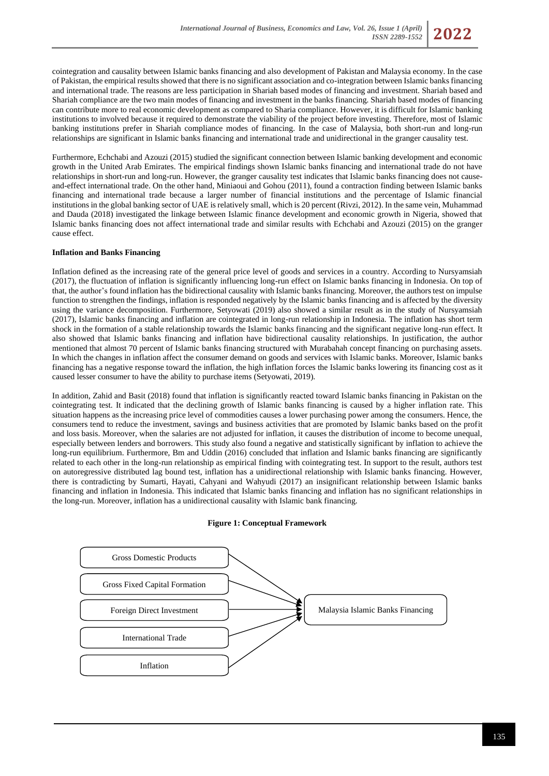

cointegration and causality between Islamic banks financing and also development of Pakistan and Malaysia economy. In the case of Pakistan, the empirical results showed that there is no significant association and co-integration between Islamic banks financing and international trade. The reasons are less participation in Shariah based modes of financing and investment. Shariah based and Shariah compliance are the two main modes of financing and investment in the banks financing. Shariah based modes of financing can contribute more to real economic development as compared to Sharia compliance. However, it is difficult for Islamic banking institutions to involved because it required to demonstrate the viability of the project before investing. Therefore, most of Islamic banking institutions prefer in Shariah compliance modes of financing. In the case of Malaysia, both short-run and long-run relationships are significant in Islamic banks financing and international trade and unidirectional in the granger causality test.

Furthermore, Echchabi and Azouzi (2015) studied the significant connection between Islamic banking development and economic growth in the United Arab Emirates. The empirical findings shown Islamic banks financing and international trade do not have relationships in short-run and long-run. However, the granger causality test indicates that Islamic banks financing does not causeand-effect international trade. On the other hand, Miniaoui and Gohou (2011), found a contraction finding between Islamic banks financing and international trade because a larger number of financial institutions and the percentage of Islamic financial institutions in the global banking sector of UAE is relatively small, which is 20 percent (Rivzi, 2012). In the same vein, Muhammad and Dauda (2018) investigated the linkage between Islamic finance development and economic growth in Nigeria, showed that Islamic banks financing does not affect international trade and similar results with Echchabi and Azouzi (2015) on the granger cause effect.

## **Inflation and Banks Financing**

Inflation defined as the increasing rate of the general price level of goods and services in a country. According to Nursyamsiah (2017), the fluctuation of inflation is significantly influencing long-run effect on Islamic banks financing in Indonesia. On top of that, the author's found inflation has the bidirectional causality with Islamic banks financing. Moreover, the authors test on impulse function to strengthen the findings, inflation is responded negatively by the Islamic banks financing and is affected by the diversity using the variance decomposition. Furthermore, Setyowati (2019) also showed a similar result as in the study of Nursyamsiah (2017), Islamic banks financing and inflation are cointegrated in long-run relationship in Indonesia. The inflation has short term shock in the formation of a stable relationship towards the Islamic banks financing and the significant negative long-run effect. It also showed that Islamic banks financing and inflation have bidirectional causality relationships. In justification, the author mentioned that almost 70 percent of Islamic banks financing structured with Murabahah concept financing on purchasing assets. In which the changes in inflation affect the consumer demand on goods and services with Islamic banks. Moreover, Islamic banks financing has a negative response toward the inflation, the high inflation forces the Islamic banks lowering its financing cost as it caused lesser consumer to have the ability to purchase items (Setyowati, 2019).

In addition, Zahid and Basit (2018) found that inflation is significantly reacted toward Islamic banks financing in Pakistan on the cointegrating test. It indicated that the declining growth of Islamic banks financing is caused by a higher inflation rate. This situation happens as the increasing price level of commodities causes a lower purchasing power among the consumers. Hence, the consumers tend to reduce the investment, savings and business activities that are promoted by Islamic banks based on the profit and loss basis. Moreover, when the salaries are not adjusted for inflation, it causes the distribution of income to become unequal, especially between lenders and borrowers. This study also found a negative and statistically significant by inflation to achieve the long-run equilibrium. Furthermore, Bm and Uddin (2016) concluded that inflation and Islamic banks financing are significantly related to each other in the long-run relationship as empirical finding with cointegrating test. In support to the result, authors test on autoregressive distributed lag bound test, inflation has a unidirectional relationship with Islamic banks financing. However, there is contradicting by Sumarti, Hayati, Cahyani and Wahyudi (2017) an insignificant relationship between Islamic banks financing and inflation in Indonesia. This indicated that Islamic banks financing and inflation has no significant relationships in the long-run. Moreover, inflation has a unidirectional causality with Islamic bank financing.



### **Figure 1: Conceptual Framework**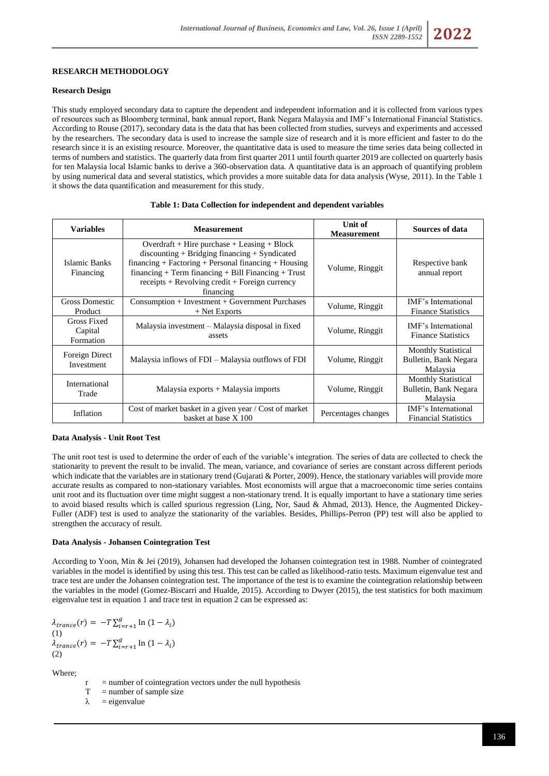#### **Research Design**

This study employed secondary data to capture the dependent and independent information and it is collected from various types of resources such as Bloomberg terminal, bank annual report, Bank Negara Malaysia and IMF's International Financial Statistics. According to Rouse (2017), secondary data is the data that has been collected from studies, surveys and experiments and accessed by the researchers. The secondary data is used to increase the sample size of research and it is more efficient and faster to do the research since it is an existing resource. Moreover, the quantitative data is used to measure the time series data being collected in terms of numbers and statistics. The quarterly data from first quarter 2011 until fourth quarter 2019 are collected on quarterly basis for ten Malaysia local Islamic banks to derive a 360-observation data. A quantitative data is an approach of quantifying problem by using numerical data and several statistics, which provides a more suitable data for data analysis (Wyse, 2011). In the Table 1 it shows the data quantification and measurement for this study.

| <b>Variables</b>                    | <b>Measurement</b>                                                                                                                                                                                                                                                                                                    | Unit of<br><b>Measurement</b> | Sources of data                                                 |
|-------------------------------------|-----------------------------------------------------------------------------------------------------------------------------------------------------------------------------------------------------------------------------------------------------------------------------------------------------------------------|-------------------------------|-----------------------------------------------------------------|
| Islamic Banks<br>Financing          | $Overdraff + Hire purchase + Leasing + Block$<br>$discounting + Bridging financing + Syndicated$<br>$financing + Factoring + Personal financing + Housing$<br>$\{ \text{financing} + \text{Term financing} + \text{Bill Financial} + \text{Trust}\}$<br>$receipts + Revolving credit + Foreign currency$<br>financing | Volume, Ringgit               | Respective bank<br>annual report                                |
| <b>Gross Domestic</b><br>Product    | $Consumption + Investment + Government$ Purchases<br>$+$ Net Exports                                                                                                                                                                                                                                                  | Volume, Ringgit               | IMF's International<br><b>Finance Statistics</b>                |
| Gross Fixed<br>Capital<br>Formation | Malaysia investment – Malaysia disposal in fixed<br>assets                                                                                                                                                                                                                                                            | Volume, Ringgit               | IMF's International<br><b>Finance Statistics</b>                |
| Foreign Direct<br>Investment        | Malaysia inflows of FDI - Malaysia outflows of FDI                                                                                                                                                                                                                                                                    | Volume, Ringgit               | <b>Monthly Statistical</b><br>Bulletin, Bank Negara<br>Malaysia |
| International<br>Trade              | Malaysia exports + Malaysia imports                                                                                                                                                                                                                                                                                   | Volume, Ringgit               | <b>Monthly Statistical</b><br>Bulletin, Bank Negara<br>Malaysia |
| Inflation                           | Cost of market basket in a given year / Cost of market<br>basket at base X 100                                                                                                                                                                                                                                        | Percentages changes           | IMF's International<br><b>Financial Statistics</b>              |

#### **Table 1: Data Collection for independent and dependent variables**

#### **Data Analysis - Unit Root Test**

The unit root test is used to determine the order of each of the variable's integration. The series of data are collected to check the stationarity to prevent the result to be invalid. The mean, variance, and covariance of series are constant across different periods which indicate that the variables are in stationary trend (Gujarati & Porter, 2009). Hence, the stationary variables will provide more accurate results as compared to non-stationary variables. Most economists will argue that a macroeconomic time series contains unit root and its fluctuation over time might suggest a non-stationary trend. It is equally important to have a stationary time series to avoid biased results which is called spurious regression (Ling, Nor, Saud & Ahmad, 2013). Hence, the Augmented Dickey-Fuller (ADF) test is used to analyze the stationarity of the variables. Besides, Phillips-Perron (PP) test will also be applied to strengthen the accuracy of result.

#### **Data Analysis - Johansen Cointegration Test**

According to Yoon, Min & Jei (2019), Johansen had developed the Johansen cointegration test in 1988. Number of cointegrated variables in the model is identified by using this test. This test can be called as likelihood-ratio tests. Maximum eigenvalue test and trace test are under the Johansen cointegration test. The importance of the test is to examine the cointegration relationship between the variables in the model (Gomez-Biscarri and Hualde, 2015). According to Dwyer (2015), the test statistics for both maximum eigenvalue test in equation 1 and trace test in equation 2 can be expressed as:

 $\lambda_{trance}(r) = -T \sum_{i=r+1}^{g} \text{In } (1 - \lambda_i)$  $(1)$  $\lambda_{trance}(r) = -T \sum_{i=r+1}^{g} \text{In } (1 - \lambda_i)$ (2)

Where;

- $r =$  number of cointegration vectors under the null hypothesis
- $T =$  number of sample size
- $\lambda$  = eigenvalue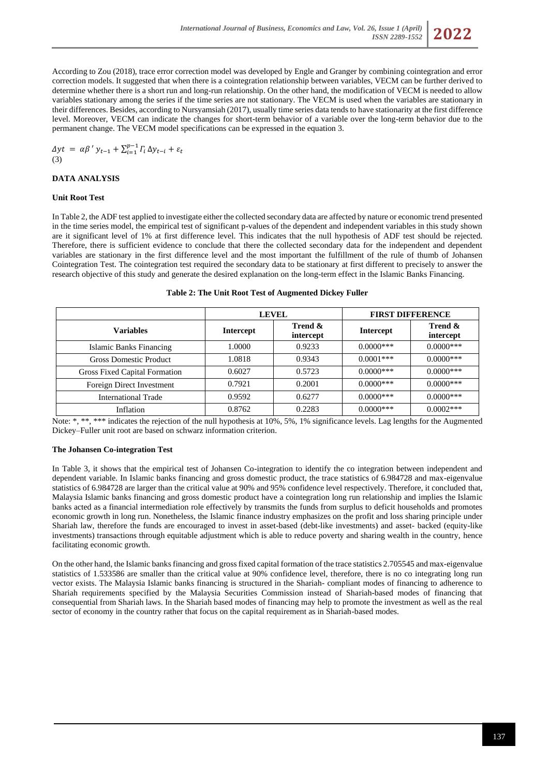

According to Zou (2018), trace error correction model was developed by Engle and Granger by combining cointegration and error correction models. It suggested that when there is a cointegration relationship between variables, VECM can be further derived to determine whether there is a short run and long-run relationship. On the other hand, the modification of VECM is needed to allow variables stationary among the series if the time series are not stationary. The VECM is used when the variables are stationary in their differences. Besides, according to Nursyamsiah (2017), usually time series data tends to have stationarity at the first difference level. Moreover, VECM can indicate the changes for short-term behavior of a variable over the long-term behavior due to the permanent change. The VECM model specifications can be expressed in the equation 3.

 $\Delta y t = \alpha \beta' y_{t-1} + \sum_{i=1}^{p-1} \Gamma_i \Delta y_{t-i} + \varepsilon_t$  $(3)$ 

### **DATA ANALYSIS**

### **Unit Root Test**

In Table 2, the ADF test applied to investigate either the collected secondary data are affected by nature or economic trend presented in the time series model, the empirical test of significant p-values of the dependent and independent variables in this study shown are it significant level of 1% at first difference level. This indicates that the null hypothesis of ADF test should be rejected. Therefore, there is sufficient evidence to conclude that there the collected secondary data for the independent and dependent variables are stationary in the first difference level and the most important the fulfillment of the rule of thumb of Johansen Cointegration Test. The cointegration test required the secondary data to be stationary at first different to precisely to answer the research objective of this study and generate the desired explanation on the long-term effect in the Islamic Banks Financing.

|                               | <b>LEVEL</b>     |                      | <b>FIRST DIFFERENCE</b> |                      |
|-------------------------------|------------------|----------------------|-------------------------|----------------------|
| <b>Variables</b>              | <b>Intercept</b> | Trend &<br>intercept | <b>Intercept</b>        | Trend &<br>intercept |
| Islamic Banks Financing       | 1.0000           | 0.9233               | $0.0000$ ***            | $0.0000$ ***         |
| <b>Gross Domestic Product</b> | 1.0818           | 0.9343               | $0.0001$ ***            | $0.0000***$          |
| Gross Fixed Capital Formation | 0.6027           | 0.5723               | $0.0000$ ***            | $0.0000$ ***         |
| Foreign Direct Investment     | 0.7921           | 0.2001               | $0.0000$ ***            | $0.0000$ ***         |
| <b>International Trade</b>    | 0.9592           | 0.6277               | $0.0000$ ***            | $0.0000$ ***         |
| Inflation                     | 0.8762           | 0.2283               | $0.0000$ ***            | $0.0002***$          |

Note: \*, \*\*, \*\*\* indicates the rejection of the null hypothesis at 10%, 5%, 1% significance levels. Lag lengths for the Augmented Dickey–Fuller unit root are based on schwarz information criterion.

### **The Johansen Co-integration Test**

In Table 3, it shows that the empirical test of Johansen Co-integration to identify the co integration between independent and dependent variable. In Islamic banks financing and gross domestic product, the trace statistics of 6.984728 and max-eigenvalue statistics of 6.984728 are larger than the critical value at 90% and 95% confidence level respectively. Therefore, it concluded that, Malaysia Islamic banks financing and gross domestic product have a cointegration long run relationship and implies the Islamic banks acted as a financial intermediation role effectively by transmits the funds from surplus to deficit households and promotes economic growth in long run. Nonetheless, the Islamic finance industry emphasizes on the profit and loss sharing principle under Shariah law, therefore the funds are encouraged to invest in asset-based (debt-like investments) and asset- backed (equity-like investments) transactions through equitable adjustment which is able to reduce poverty and sharing wealth in the country, hence facilitating economic growth.

On the other hand, the Islamic banks financing and gross fixed capital formation of the trace statistics 2.705545 and max-eigenvalue statistics of 1.533586 are smaller than the critical value at 90% confidence level, therefore, there is no co integrating long run vector exists. The Malaysia Islamic banks financing is structured in the Shariah- compliant modes of financing to adherence to Shariah requirements specified by the Malaysia Securities Commission instead of Shariah-based modes of financing that consequential from Shariah laws. In the Shariah based modes of financing may help to promote the investment as well as the real sector of economy in the country rather that focus on the capital requirement as in Shariah-based modes.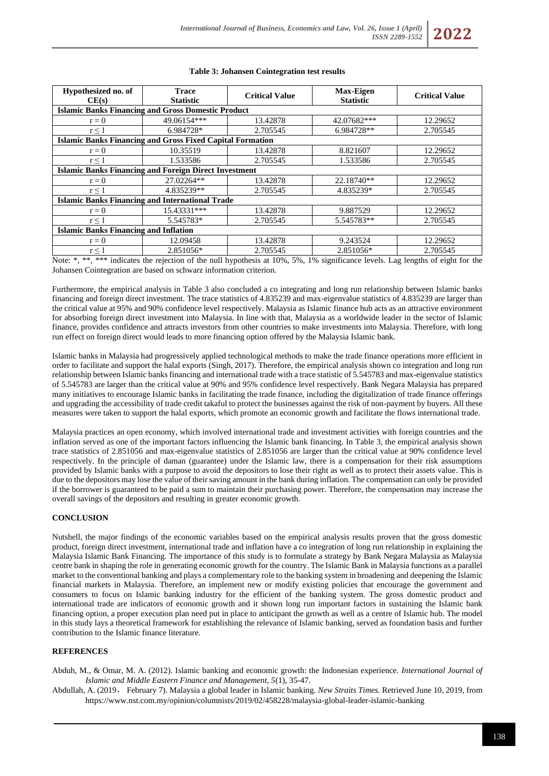

### **Table 3: Johansen Cointegration test results**

Note: \*, \*\*, \*\*\* indicates the rejection of the null hypothesis at 10%, 5%, 1% significance levels. Lag lengths of eight for the Johansen Cointegration are based on schwarz information criterion.

Furthermore, the empirical analysis in Table 3 also concluded a co integrating and long run relationship between Islamic banks financing and foreign direct investment. The trace statistics of 4.835239 and max-eigenvalue statistics of 4.835239 are larger than the critical value at 95% and 90% confidence level respectively. Malaysia as Islamic finance hub acts as an attractive environment for absorbing foreign direct investment into Malaysia. In line with that, Malaysia as a worldwide leader in the sector of Islamic finance, provides confidence and attracts investors from other countries to make investments into Malaysia. Therefore, with long run effect on foreign direct would leads to more financing option offered by the Malaysia Islamic bank.

Islamic banks in Malaysia had progressively applied technological methods to make the trade finance operations more efficient in order to facilitate and support the halal exports (Singh, 2017). Therefore, the empirical analysis shown co integration and long run relationship between Islamic banks financing and international trade with a trace statistic of 5.545783 and max-eigenvalue statistics of 5.545783 are larger than the critical value at 90% and 95% confidence level respectively. Bank Negara Malaysia has prepared many initiatives to encourage Islamic banks in facilitating the trade finance, including the digitalization of trade finance offerings and upgrading the accessibility of trade credit takaful to protect the businesses against the risk of non-payment by buyers. All these measures were taken to support the halal exports, which promote an economic growth and facilitate the flows international trade.

Malaysia practices an open economy, which involved international trade and investment activities with foreign countries and the inflation served as one of the important factors influencing the Islamic bank financing. In Table 3, the empirical analysis shown trace statistics of 2.851056 and max-eigenvalue statistics of 2.851056 are larger than the critical value at 90% confidence level respectively. In the principle of daman (guarantee) under the Islamic law, there is a compensation for their risk assumptions provided by Islamic banks with a purpose to avoid the depositors to lose their right as well as to protect their assets value. This is due to the depositors may lose the value of their saving amount in the bank during inflation. The compensation can only be provided if the borrower is guaranteed to be paid a sum to maintain their purchasing power. Therefore, the compensation may increase the overall savings of the depositors and resulting in greater economic growth.

# **CONCLUSION**

Nutshell, the major findings of the economic variables based on the empirical analysis results proven that the gross domestic product, foreign direct investment, international trade and inflation have a co integration of long run relationship in explaining the Malaysia Islamic Bank Financing. The importance of this study is to formulate a strategy by Bank Negara Malaysia as Malaysia centre bank in shaping the role in generating economic growth for the country. The Islamic Bank in Malaysia functions as a parallel market to the conventional banking and plays a complementary role to the banking system in broadening and deepening the Islamic financial markets in Malaysia. Therefore, an implement new or modify existing policies that encourage the government and consumers to focus on Islamic banking industry for the efficient of the banking system. The gross domestic product and international trade are indicators of economic growth and it shown long run important factors in sustaining the Islamic bank financing option, a proper execution plan need put in place to anticipant the growth as well as a centre of Islamic hub. The model in this study lays a theoretical framework for establishing the relevance of Islamic banking, served as foundation basis and further contribution to the Islamic finance literature.

### **REFERENCES**

Abduh, M., & Omar, M. A. (2012). Islamic banking and economic growth: the Indonesian experience. *International Journal of Islamic and Middle Eastern Finance and Management, 5*(1), 35-47.

Abdullah, A. (2019, February 7). Malaysia a global leader in Islamic banking. *New Straits Times.* Retrieved June 10, 2019, from <https://www.nst.com.my/opinion/columnists/2019/02/458228/malaysia-global-leader-islamic-banking>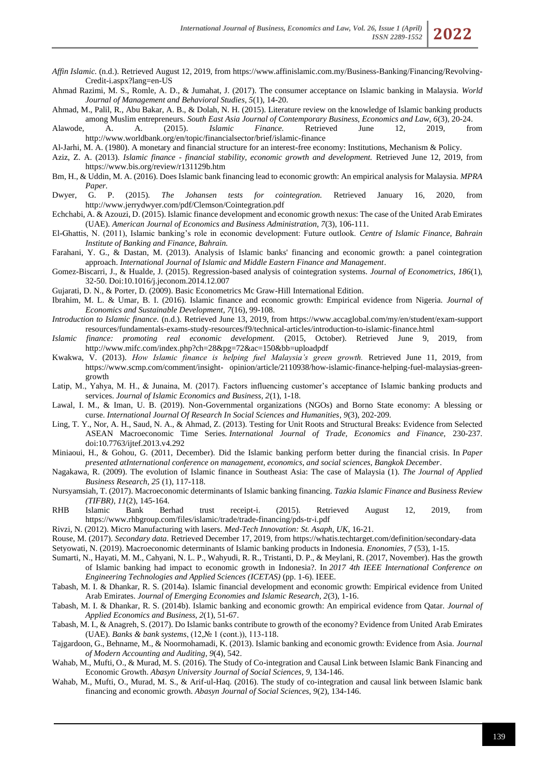- *Affin Islamic.* (n.d.). Retrieved August 12, 2019, fro[m https://www.affinislamic.com.my/Business-Banking/Financing/Revolving-](https://www.affinislamic.com.my/Business-Banking/Financing/Revolving-Credit-i.aspx?lang=en-US)[Credit-i.aspx?lang=en-US](https://www.affinislamic.com.my/Business-Banking/Financing/Revolving-Credit-i.aspx?lang=en-US)
- Ahmad Razimi, M. S., Romle, A. D., & Jumahat, J. (2017). The consumer acceptance on Islamic banking in Malaysia. *World Journal of Management and Behavioral Studies, 5*(1), 14-20.
- Ahmad, M., Palil, R., Abu Bakar, A. B., & Dolah, N. H. (2015). Literature review on the knowledge of Islamic banking products among Muslim entrepreneurs. *South East Asia Journal of Contemporary Business, Economics and Law, 6*(3), 20-24.
- Alawode, A. A. (2015). *Islamic Finance.* Retrieved June 12, 2019, from http://www.worldbank.org/en/topic/financialsector/brief/islamic-finance
- Al-Jarhi, M. A. (1980). A monetary and financial structure for an interest-free economy: Institutions, Mechanism & Policy.
- Aziz, Z. A. (2013). *Islamic finance - financial stability, economic growth and development.* Retrieved June 12, 2019, from <https://www.bis.org/review/r131129b.htm>
- Bm, H., & Uddin, M. A. (2016). Does Islamic bank financing lead to economic growth: An empirical analysis for Malaysia. *MPRA Paper.*
- Dwyer, G. P. (2015). *The Johansen tests for cointegration.* Retrieved January 16, 2020, from <http://www.jerrydwyer.com/pdf/Clemson/Cointegration.pdf>
- Echchabi, A. & Azouzi, D. (2015). Islamic finance development and economic growth nexus: The case of the United Arab Emirates (UAE). *American Journal of Economics and Business Administration, 7*(3), 106-111.
- El-Ghattis, N. (2011), Islamic banking's role in economic development: Future outlook. *Centre of Islamic Finance, Bahrain Institute of Banking and Finance, Bahrain.*
- Farahani, Y. G., & Dastan, M. (2013). Analysis of Islamic banks' financing and economic growth: a panel cointegration approach. *International Journal of Islamic and Middle Eastern Finance and Management*.
- Gomez-Biscarri, J., & Hualde, J. (2015). Regression-based analysis of cointegration systems. *Journal of Econometrics, 186*(1), 32-50. Doi:10.1016/j.jeconom.2014.12.007
- Gujarati, D. N., & Porter, D. (2009). Basic Econometrics Mc Graw-Hill International Edition.
- Ibrahim, M. L. & Umar, B. I. (2016). Islamic finance and economic growth: Empirical evidence from Nigeria. *Journal of Economics and Sustainable Development, 7*(16), 99-108.
- *Introduction to Islamic finance.* (n.d.). Retrieved June 13, 2019, from [https://www.accaglobal.com/my/en/student/exam-support](https://www.accaglobal.com/my/en/student/exam-support%20resources/fundamentals-exams-study-resources/f9/technical-articles/introduction-to-islamic-finance.html)  [resources/fundamentals-exams-study-resources/f9/technical-articles/introduction-to-islamic-finance.html](https://www.accaglobal.com/my/en/student/exam-support%20resources/fundamentals-exams-study-resources/f9/technical-articles/introduction-to-islamic-finance.html)
- *Islamic finance: promoting real economic development.* (2015, October). Retrieved June 9, 2019, from <http://www.mifc.com/index.php?ch=28&pg=72&ac=150&bb=uploadpdf>
- Kwakwa, V. (2013). *How Islamic finance is helping fuel Malaysia's green growth.* Retrieved June 11, 2019, from https://www.scmp.com/comment/insight- opinion/article/2110938/how-islamic-finance-helping-fuel-malaysias-greengrowth
- Latip, M., Yahya, M. H., & Junaina, M. (2017). Factors influencing customer's acceptance of Islamic banking products and services. *Journal of Islamic Economics and Business, 2*(1), 1-18.
- Lawal, I. M., & Iman, U. B. (2019). Non-Governmental organizations (NGOs) and Borno State economy: A blessing or curse. *International Journal Of Research In Social Sciences and Humanities*, *9*(3), 202-209.
- Ling, T. Y., Nor, A. H., Saud, N. A., & Ahmad, Z. (2013). Testing for Unit Roots and Structural Breaks: Evidence from Selected ASEAN Macroeconomic Time Series. *International Journal of Trade, Economics and Finance,* 230-237. doi:10.7763/ijtef.2013.v4.292
- Miniaoui, H., & Gohou, G. (2011, December). Did the Islamic banking perform better during the financial crisis. In *Paper presented atInternational conference on management, economics, and social sciences, Bangkok December*.
- Nagakawa, R. (2009). The evolution of Islamic finance in Southeast Asia: The case of Malaysia (1). *The Journal of Applied Business Research, 25* (1), 117-118.
- Nursyamsiah, T. (2017). Macroeconomic determinants of Islamic banking financing. *Tazkia Islamic Finance and Business Review (TIFBR), 11*(2), 145-164.
- RHB Islamic Bank Berhad trust receipt-i. (2015). Retrieved August 12, 2019, from <https://www.rhbgroup.com/files/islamic/trade/trade-financing/pds-tr-i.pdf>
- Rivzi, N. (2012). Micro Manufacturing with lasers. *Med-Tech Innovation: St. Asaph, UK*, 16-21.
- Rouse, M. (2017). *Secondary data.* Retrieved December 17, 2019, fro[m https://whatis.techtarget.com/definition/secondary-data](https://whatis.techtarget.com/definition/secondary-data)
- Setyowati, N. (2019). Macroeconomic determinants of Islamic banking products in Indonesia. *Enonomies, 7* (53), 1-15.
- Sumarti, N., Hayati, M. M., Cahyani, N. L. P., Wahyudi, R. R., Tristanti, D. P., & Meylani, R. (2017, November). Has the growth of Islamic banking had impact to economic growth in Indonesia?. In *2017 4th IEEE International Conference on Engineering Technologies and Applied Sciences (ICETAS)* (pp. 1-6). IEEE.
- Tabash, M. I. & Dhankar, R. S. (2014a). Islamic financial development and economic growth: Empirical evidence from United Arab Emirates. *Journal of Emerging Economies and Islamic Research, 2*(3), 1-16.
- Tabash, M. I. & Dhankar, R. S. (2014b). Islamic banking and economic growth: An empirical evidence from Qatar. *Journal of Applied Economics and Business, 2*(1), 51-67.
- Tabash, M. I., & Anagreh, S. (2017). Do Islamic banks contribute to growth of the economy? Evidence from United Arab Emirates (UAE). *Banks & bank systems*, (12,№ 1 (cont.)), 113-118.
- Tajgardoon, G., Behname, M., & Noormohamadi, K. (2013). Islamic banking and economic growth: Evidence from Asia. *Journal of Modern Accounting and Auditing*, *9*(4), 542.
- Wahab, M., Mufti, O., & Murad, M. S. (2016). The Study of Co-integration and Causal Link between Islamic Bank Financing and Economic Growth. *Abasyn University Journal of Social Sciences*, *9*, 134-146.
- Wahab, M., Mufti, O., Murad, M. S., & Arif-ul-Haq. (2016). The study of co-integration and causal link between Islamic bank financing and economic growth. *Abasyn Journal of Social Sciences, 9*(2), 134-146.